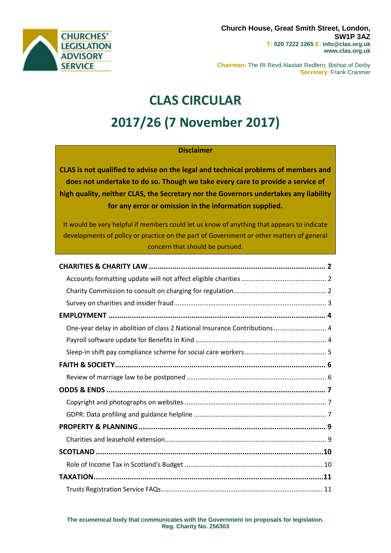

**Chairman:** The Rt Revd Alastair Redfern, Bishop of Derby **Secretary:** Frank Cranmer

# **CLAS CIRCULAR 2017/26 (7 November 2017)**

#### **Disclaimer**

**CLAS is not qualified to advise on the legal and technical problems of members and does not undertake to do so. Though we take every care to provide a service of high quality, neither CLAS, the Secretary nor the Governors undertakes any liability for any error or omission in the information supplied.**

It would be very helpful if members could let us know of anything that appears to indicate developments of policy or practice on the part of Government or other matters of general concern that should be pursued.

| One-year delay in abolition of class 2 National Insurance Contributions 4 |
|---------------------------------------------------------------------------|
|                                                                           |
|                                                                           |
|                                                                           |
|                                                                           |
|                                                                           |
|                                                                           |
|                                                                           |
|                                                                           |
|                                                                           |
|                                                                           |
|                                                                           |
|                                                                           |
|                                                                           |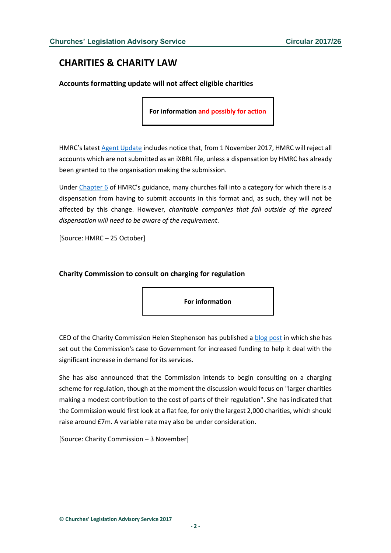# <span id="page-1-0"></span>**CHARITIES & CHARITY LAW**

<span id="page-1-1"></span>**Accounts formatting update will not affect eligible charities**

**For information and possibly for action**

HMRC's latest [Agent Update](https://www.gov.uk/government/uploads/system/uploads/attachment_data/file/653074/6148_Agent.pdf) includes notice that, from 1 November 2017, HMRC will reject all accounts which are not submitted as an iXBRL file, unless a dispensation by HMRC has already been granted to the organisation making the submission.

Under [Chapter 6](https://www.gov.uk/government/publications/charities-detailed-guidance-notes/chapter-6-claims-and-returns#chapter-69-company-tax-returns-for-smaller-charities-filing-online---format-for-accounts) of HMRC's guidance, many churches fall into a category for which there is a dispensation from having to submit accounts in this format and, as such, they will not be affected by this change. However, *charitable companies that fall outside of the agreed dispensation will need to be aware of the requirement*.

[Source: HMRC – 25 October]

#### <span id="page-1-2"></span>**Charity Commission to consult on charging for regulation**

**For information**

CEO of the Charity Commission Helen Stephenson has published a [blog post](http://charitycommission.blog.gov.uk/2017/11/03/why-we-need-to-be-an-enabling-regulator-and-what-that-means/) in which she has set out the Commission's case to Government for increased funding to help it deal with the significant increase in demand for its services.

She has also announced that the Commission intends to begin consulting on a charging scheme for regulation, though at the moment the discussion would focus on "larger charities making a modest contribution to the cost of parts of their regulation". She has indicated that the Commission would first look at a flat fee, for only the largest 2,000 charities, which should raise around £7m. A variable rate may also be under consideration.

[Source: Charity Commission – 3 November]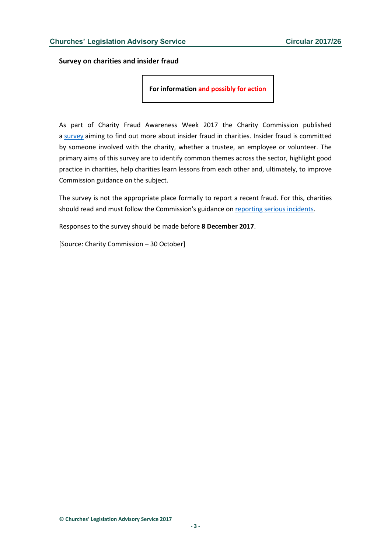<span id="page-2-0"></span>**Survey on charities and insider fraud**

**For information and possibly for action**

As part of Charity Fraud Awareness Week 2017 the Charity Commission published a [survey](http://vovici.com/wsb.dll/s/122beg5a4bb) aiming to find out more about insider fraud in charities. Insider fraud is committed by someone involved with the charity, whether a trustee, an employee or volunteer. The primary aims of this survey are to identify common themes across the sector, highlight good practice in charities, help charities learn lessons from each other and, ultimately, to improve Commission guidance on the subject.

The survey is not the appropriate place formally to report a recent fraud. For this, charities should read and must follow the Commission's guidance on [reporting serious incidents.](http://www.gov.uk/guidance/how-to-report-a-serious-incident-in-your-charity)

Responses to the survey should be made before **8 December 2017**.

[Source: Charity Commission – 30 October]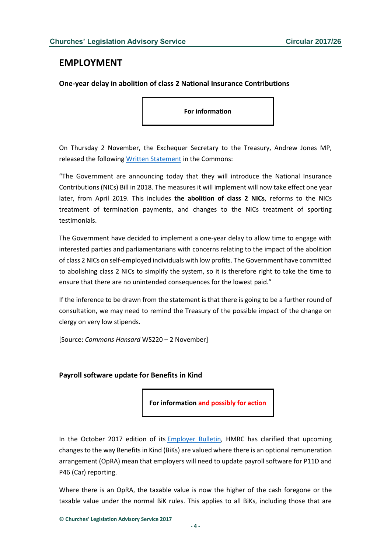#### <span id="page-3-0"></span>**EMPLOYMENT**

<span id="page-3-1"></span>**One-year delay in abolition of class 2 National Insurance Contributions**

**For information**

On Thursday 2 November, the Exchequer Secretary to the Treasury, Andrew Jones MP, released the following [Written Statement](http://www.parliament.uk/business/publications/written-questions-answers-statements/written-statement/Commons/2017-11-02/HCWS220/) in the Commons:

"The Government are announcing today that they will introduce the National Insurance Contributions (NICs) Bill in 2018. The measures it will implement will now take effect one year later, from April 2019. This includes **the abolition of class 2 NICs**, reforms to the NICs treatment of termination payments, and changes to the NICs treatment of sporting testimonials.

The Government have decided to implement a one-year delay to allow time to engage with interested parties and parliamentarians with concerns relating to the impact of the abolition of class 2 NICs on self-employed individuals with low profits. The Government have committed to abolishing class 2 NICs to simplify the system, so it is therefore right to take the time to ensure that there are no unintended consequences for the lowest paid."

If the inference to be drawn from the statement is that there is going to be a further round of consultation, we may need to remind the Treasury of the possible impact of the change on clergy on very low stipends.

[Source: *Commons Hansard* WS220 – 2 November]

#### <span id="page-3-2"></span>**Payroll software update for Benefits in Kind**

**For information and possibly for action**

In the October 2017 edition of its [Employer Bulletin,](http://www.gov.uk/government/uploads/system/uploads/attachment_data/file/653642/eb_68.pdf) HMRC has clarified that upcoming changes to the way Benefits in Kind (BiKs) are valued where there is an optional remuneration arrangement (OpRA) mean that employers will need to update payroll software for P11D and P46 (Car) reporting.

Where there is an OpRA, the taxable value is now the higher of the cash foregone or the taxable value under the normal BiK rules. This applies to all BiKs, including those that are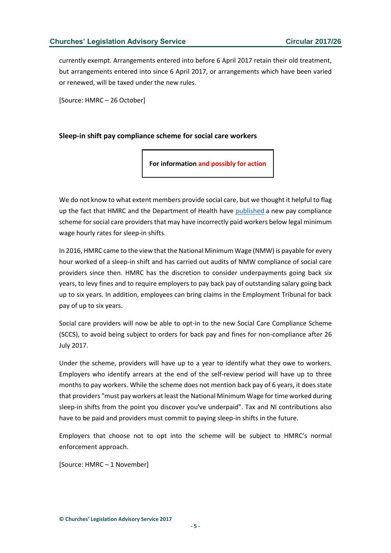currently exempt. Arrangements entered into before 6 April 2017 retain their old treatment, but arrangements entered into since 6 April 2017, or arrangements which have been varied or renewed, will be taxed under the new rules.

[Source: HMRC – 26 October]

#### <span id="page-4-0"></span>**Sleep-in shift pay compliance scheme for social care workers**

**For information and possibly for action**

We do not know to what extent members provide social care, but we thought it helpful to flag up the fact that HMRC and the Department of Health have [published](http://www.gov.uk/government/news/new-sleep-in-shift-pay-compliance-scheme-launched-to-support-social-care-sector-and-identify-back-pay-for-workers) a new pay compliance scheme for social care providers that may have incorrectly paid workers below legal minimum wage hourly rates for sleep-in shifts.

In 2016, HMRC came to the view that the National Minimum Wage (NMW) is payable for every hour worked of a sleep-in shift and has carried out audits of NMW compliance of social care providers since then. HMRC has the discretion to consider underpayments going back six years, to levy fines and to require employers to pay back pay of outstanding salary going back up to six years. In addition, employees can bring claims in the Employment Tribunal for back pay of up to six years.

Social care providers will now be able to opt-in to the new Social Care Compliance Scheme (SCCS), to avoid being subject to orders for back pay and fines for non-compliance after 26 July 2017.

Under the scheme, providers will have up to a year to identify what they owe to workers. Employers who identify arrears at the end of the self-review period will have up to three months to pay workers. While the scheme does not mention back pay of 6 years, it does state that providers "must pay workers at least the National Minimum Wage for time worked during sleep-in shifts from the point you discover you've underpaid". Tax and NI contributions also have to be paid and providers must commit to paying sleep-in shifts in the future.

Employers that choose not to opt into the scheme will be subject to HMRC's normal enforcement approach.

[Source: HMRC – 1 November]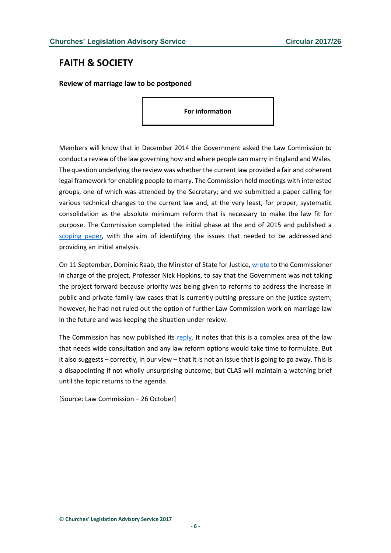# <span id="page-5-0"></span>**FAITH & SOCIETY**

<span id="page-5-1"></span>**Review of marriage law to be postponed**

**For information**

Members will know that in December 2014 the Government asked the Law Commission to conduct a review of the law governing how and where people can marry in England and Wales. The question underlying the review was whether the current law provided a fair and coherent legal framework for enabling people to marry. The Commission held meetings with interested groups, one of which was attended by the Secretary; and we submitted a paper calling for various technical changes to the current law and, at the very least, for proper, systematic consolidation as the absolute minimum reform that is necessary to make the law fit for purpose. The Commission completed the initial phase at the end of 2015 and published a [scoping paper,](https://s3-eu-west-2.amazonaws.com/lawcom-prod-storage-11jsxou24uy7q/uploads/2015/12/Getting_Married_scoping_paper-1.pdf) with the aim of identifying the issues that needed to be addressed and providing an initial analysis.

On 11 September, Dominic Raab, the Minister of State for Justice[, wrote](https://s3-eu-west-2.amazonaws.com/lawcom-prod-storage-11jsxou24uy7q/uploads/2017/10/Response-from-Govenment-on-Marriage.pdf) to the Commissioner in charge of the project, Professor Nick Hopkins, to say that the Government was not taking the project forward because priority was being given to reforms to address the increase in public and private family law cases that is currently putting pressure on the justice system; however, he had not ruled out the option of further Law Commission work on marriage law in the future and was keeping the situation under review.

The Commission has now published its [reply.](https://s3-eu-west-2.amazonaws.com/lawcom-prod-storage-11jsxou24uy7q/uploads/2015/12/Letter-to-Dominic-Raab-MP-Response-to-protocol-support-rejection-26.10.2017.pdf) It notes that this is a complex area of the law that needs wide consultation and any law reform options would take time to formulate. But it also suggests – correctly, in our view – that it is not an issue that is going to go away. This is a disappointing if not wholly unsurprising outcome; but CLAS will maintain a watching brief until the topic returns to the agenda.

[Source: Law Commission – 26 October]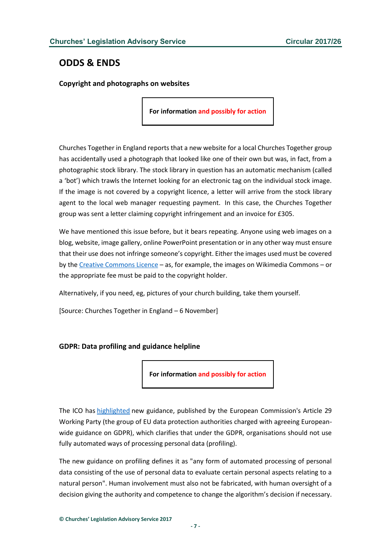# <span id="page-6-0"></span>**ODDS & ENDS**

<span id="page-6-1"></span>**Copyright and photographs on websites**

**For information and possibly for action**

Churches Together in England reports that a new website for a local Churches Together group has accidentally used a photograph that looked like one of their own but was, in fact, from a photographic stock library. The stock library in question has an automatic mechanism (called a 'bot') which trawls the Internet looking for an electronic tag on the individual stock image. If the image is not covered by a copyright licence, a letter will arrive from the stock library agent to the local web manager requesting payment. In this case, the Churches Together group was sent a letter claiming copyright infringement and an invoice for £305.

We have mentioned this issue before, but it bears repeating. Anyone using web images on a blog, website, image gallery, online PowerPoint presentation or in any other way must ensure that their use does not infringe someone's copyright. Either the images used must be covered by th[e Creative Commons Licence](http://www.copyrightuser.org/understand/rights-permissions/creative-commons/) – as, for example, the images on Wikimedia Commons – or the appropriate fee must be paid to the copyright holder.

Alternatively, if you need, eg, pictures of your church building, take them yourself.

[Source: Churches Together in England – 6 November]

#### <span id="page-6-2"></span>**GDPR: Data profiling and guidance helpline**

**For information and possibly for action**

The ICO has [highlighted](http://iconewsblog.org.uk/2017/10/19/european-guidance-published-profiling-and-breach-reporting/) new guidance, published by the European Commission's Article 29 Working Party (the group of EU data protection authorities charged with agreeing Europeanwide guidance on GDPR), which clarifies that under the GDPR, organisations should not use fully automated ways of processing personal data (profiling).

The new guidance on profiling defines it as "any form of automated processing of personal data consisting of the use of personal data to evaluate certain personal aspects relating to a natural person". Human involvement must also not be fabricated, with human oversight of a decision giving the authority and competence to change the algorithm's decision if necessary.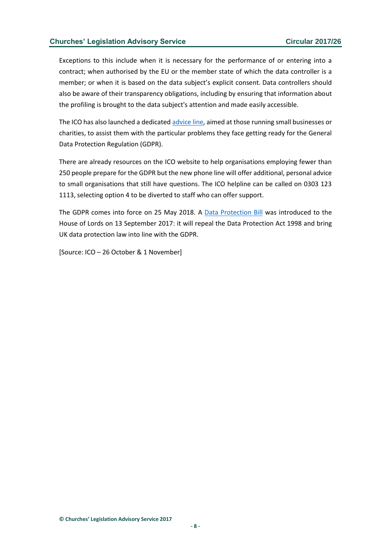#### **Churches' Legislation Advisory Service Circular 2017/26**

Exceptions to this include when it is necessary for the performance of or entering into a contract; when authorised by the EU or the member state of which the data controller is a member; or when it is based on the data subject's explicit consent. Data controllers should also be aware of their transparency obligations, including by ensuring that information about the profiling is brought to the data subject's attention and made easily accessible.

The ICO has also launched a dedicated [advice line,](http://ico.org.uk/global/contact-us/advice-service-for-small-organisations/) aimed at those running small businesses or charities, to assist them with the particular problems they face getting ready for the General Data Protection Regulation (GDPR).

There are already resources on the ICO website to help organisations employing fewer than 250 people prepare for the GDPR but the new phone line will offer additional, personal advice to small organisations that still have questions. The ICO helpline can be called on 0303 123 1113, selecting option 4 to be diverted to staff who can offer support.

The GDPR comes into force on 25 May 2018. A [Data Protection Bill](https://publications.parliament.uk/pa/bills/lbill/2017-2019/0066/18066.pdf) was introduced to the House of Lords on 13 September 2017: it will repeal the Data Protection Act 1998 and bring UK data protection law into line with the GDPR.

[Source: ICO – 26 October & 1 November]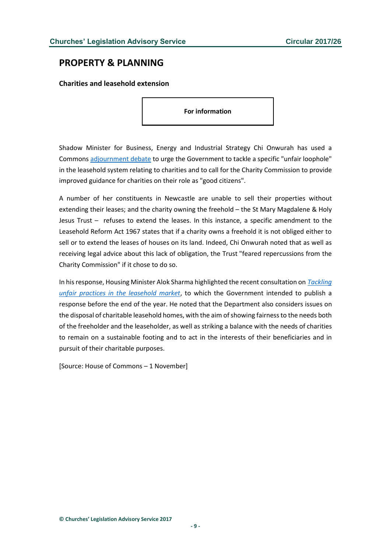## <span id="page-8-0"></span>**PROPERTY & PLANNING**

<span id="page-8-1"></span>**Charities and leasehold extension**

**For information**

Shadow Minister for Business, Energy and Industrial Strategy Chi Onwurah has used a Commons [adjournment debate](http://hansard.parliament.uk/Commons/2017-11-01/debates/C28AD6D6-F6A7-40AB-A94D-AE8701FB31E1/StMaryMagdaleneAndHolyJesusTrustLeasehold) to urge the Government to tackle a specific "unfair loophole" in the leasehold system relating to charities and to call for the Charity Commission to provide improved guidance for charities on their role as "good citizens".

A number of her constituents in Newcastle are unable to sell their properties without extending their leases; and the charity owning the freehold – the St Mary Magdalene & Holy Jesus Trust – refuses to extend the leases. In this instance, a specific amendment to the Leasehold Reform Act 1967 states that if a charity owns a freehold it is not obliged either to sell or to extend the leases of houses on its land. Indeed, Chi Onwurah noted that as well as receiving legal advice about this lack of obligation, the Trust "feared repercussions from the Charity Commission" if it chose to do so.

In his response, Housing Minister Alok Sharma highlighted the recent consultation on *[Tackling](http://www.gov.uk/government/consultations/tackling-unfair-practices-in-the-leasehold-market)  [unfair practices in the leasehold market](http://www.gov.uk/government/consultations/tackling-unfair-practices-in-the-leasehold-market)*, to which the Government intended to publish a response before the end of the year. He noted that the Department also considers issues on the disposal of charitable leasehold homes, with the aim of showing fairness to the needs both of the freeholder and the leaseholder, as well as striking a balance with the needs of charities to remain on a sustainable footing and to act in the interests of their beneficiaries and in pursuit of their charitable purposes.

[Source: House of Commons – 1 November]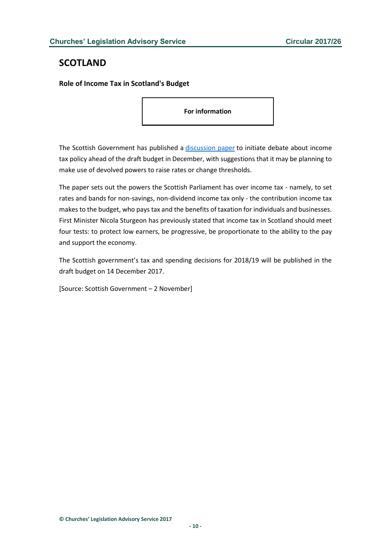# <span id="page-9-0"></span>**SCOTLAND**

<span id="page-9-1"></span>**Role of Income Tax in Scotland's Budget**

**For information**

The Scottish Government has published a [discussion paper](http://www.gov.scot/Publications/2017/11/5307) to initiate debate about income tax policy ahead of the draft budget in December, with suggestions that it may be planning to make use of devolved powers to raise rates or change thresholds.

The paper sets out the powers the Scottish Parliament has over income tax - namely, to set rates and bands for non-savings, non-dividend income tax only - the contribution income tax makes to the budget, who pays tax and the benefits of taxation for individuals and businesses. First Minister Nicola Sturgeon has previously stated that income tax in Scotland should meet four tests: to protect low earners, be progressive, be proportionate to the ability to the pay and support the economy.

The Scottish government's tax and spending decisions for 2018/19 will be published in the draft budget on 14 December 2017.

[Source: Scottish Government – 2 November]